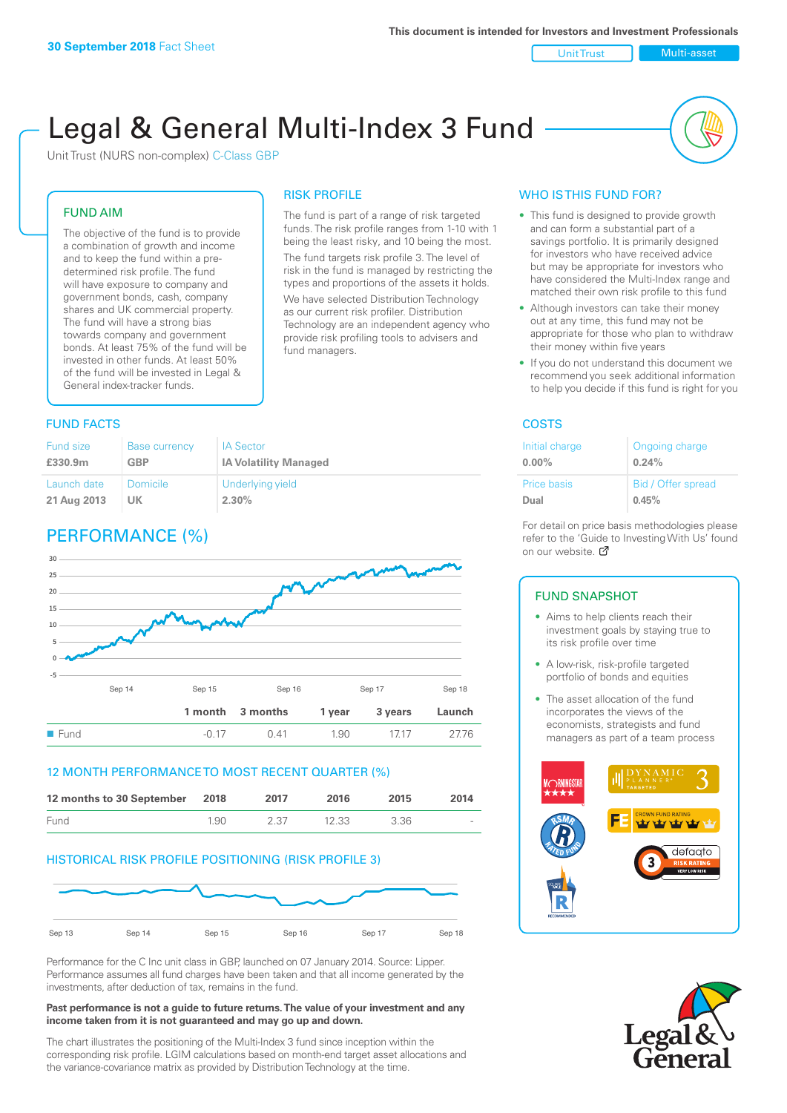Unit Trust Nulti-asset

# Legal & General Multi-Index 3 Fund

RISK PROFILE

fund managers.

The fund is part of a range of risk targeted funds. The risk profile ranges from 1-10 with 1 being the least risky, and 10 being the most. The fund targets risk profile 3. The level of risk in the fund is managed by restricting the types and proportions of the assets it holds. We have selected Distribution Technology as our current risk profiler. Distribution Technology are an independent agency who provide risk profiling tools to advisers and

Unit Trust (NURS non-complex) C-Class GBP

#### FUND AIM

The objective of the fund is to provide a combination of growth and income and to keep the fund within a predetermined risk profile. The fund will have exposure to company and government bonds, cash, company shares and UK commercial property. The fund will have a strong bias towards company and government bonds. At least 75% of the fund will be invested in other funds. At least 50% of the fund will be invested in Legal & General index-tracker funds.

### **FUND FACTS** COSTS

| Fund size   | <b>Base currency</b> | <b>IA Sector</b>             |
|-------------|----------------------|------------------------------|
| £330.9m     | <b>GBP</b>           | <b>IA Volatility Managed</b> |
| Launch date | <b>Domicile</b>      | Underlying yield             |
| 21 Aug 2013 | UK                   | 2.30%                        |

# PERFORMANCE (%)



#### 12 MONTH PERFORMANCE TO MOST RECENT QUARTER (%)

| 12 months to 30 September 2018 |      | 2017 | 2016  | 2015 | 2014   |
|--------------------------------|------|------|-------|------|--------|
| Fund                           | 1.90 | 2.37 | 12.33 | 3.36 | $\sim$ |

#### HISTORICAL RISK PROFILE POSITIONING (RISK PROFILE 3)



Performance for the C Inc unit class in GBP, launched on 07 January 2014. Source: Lipper. Performance assumes all fund charges have been taken and that all income generated by the investments, after deduction of tax, remains in the fund.

#### **Past performance is not a guide to future returns. The value of your investment and any income taken from it is not guaranteed and may go up and down.**

The chart illustrates the positioning of the Multi-Index 3 fund since inception within the corresponding risk profile. LGIM calculations based on month-end target asset allocations and the variance-covariance matrix as provided by Distribution Technology at the time.

#### WHO IS THIS FUND FOR?

- This fund is designed to provide growth and can form a substantial part of a savings portfolio. It is primarily designed for investors who have received advice but may be appropriate for investors who have considered the Multi-Index range and matched their own risk profile to this fund
- Although investors can take their money out at any time, this fund may not be appropriate for those who plan to withdraw their money within five years
- If you do not understand this document we recommend you seek additional information to help you decide if this fund is right for you

| Initial charge     | Ongoing charge     |
|--------------------|--------------------|
| $0.00\%$           | 0.24%              |
| <b>Price basis</b> | Bid / Offer spread |
| Dual               | 0.45%              |

For detail on price basis methodologies please refer to the 'Guide to Investing With Us' found on our website. Ø

#### FUND SNAPSHOT

- Aims to help clients reach their investment goals by staying true to its risk profile over time
- A low-risk, risk-profile targeted portfolio of bonds and equities
- The asset allocation of the fund incorporates the views of the economists, strategists and fund managers as part of a team process



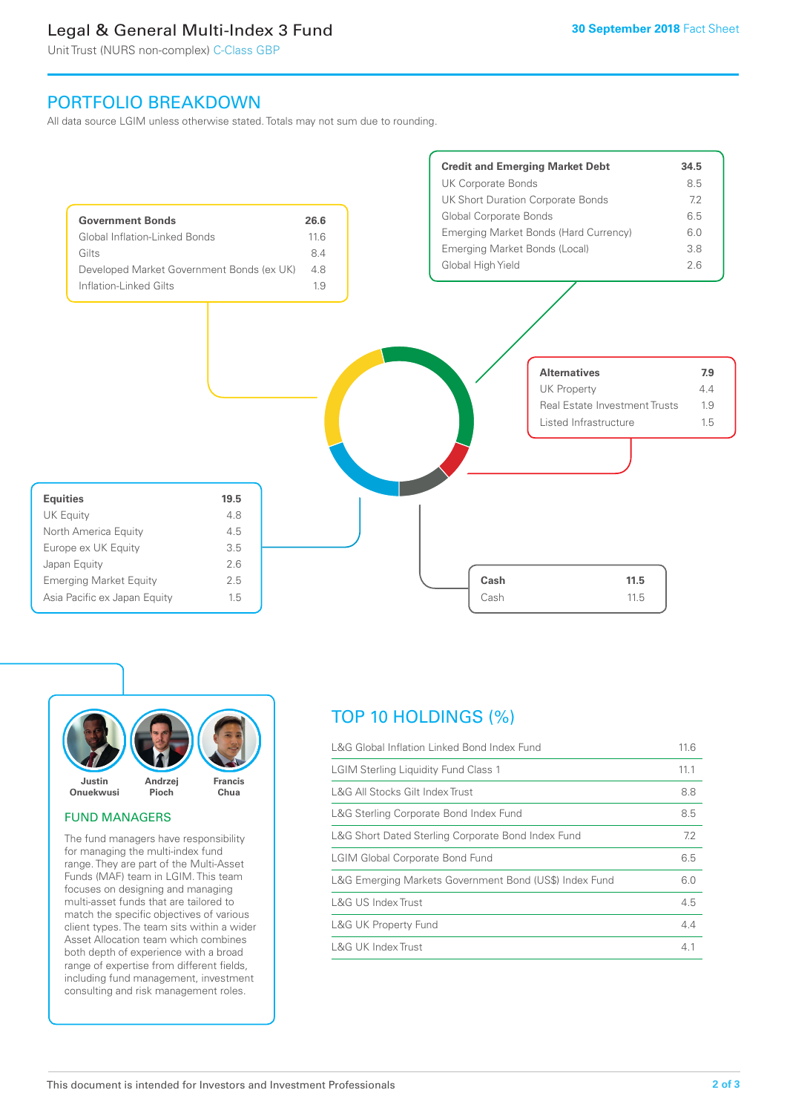# Legal & General Multi-Index 3 Fund

Unit Trust (NURS non-complex) C-Class GBP

## PORTFOLIO BREAKDOWN

All data source LGIM unless otherwise stated. Totals may not sum due to rounding.





#### FUND MANAGERS

The fund managers have responsibility for managing the multi-index fund range. They are part of the Multi-Asset Funds (MAF) team in LGIM. This team focuses on designing and managing multi-asset funds that are tailored to match the specific objectives of various client types. The team sits within a wider Asset Allocation team which combines both depth of experience with a broad range of expertise from different fields, including fund management, investment consulting and risk management roles.

# TOP 10 HOLDINGS (%)

| L&G Global Inflation Linked Bond Index Fund            |      |
|--------------------------------------------------------|------|
| <b>LGIM Sterling Liquidity Fund Class 1</b>            | 11.1 |
| L&G All Stocks Gilt Index Trust                        |      |
| L&G Sterling Corporate Bond Index Fund                 | 8.5  |
| L&G Short Dated Sterling Corporate Bond Index Fund     | 7.2  |
| <b>LGIM Global Corporate Bond Fund</b>                 |      |
| L&G Emerging Markets Government Bond (US\$) Index Fund |      |
| L&G US Index Trust                                     | 4.5  |
| <b>L&amp;G UK Property Fund</b>                        | 4.4  |
| L&G UK Index Trust                                     | 4.1  |